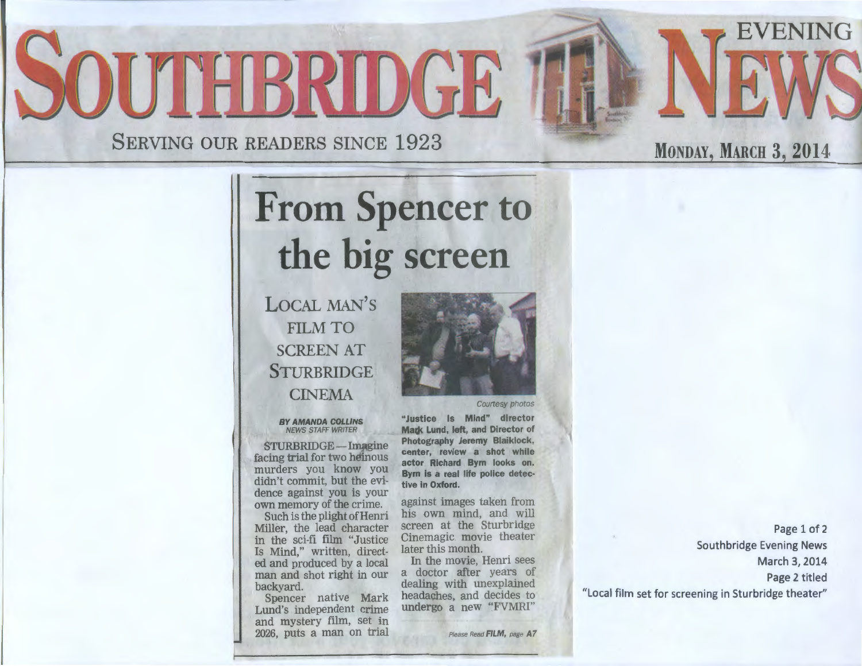# SOUTHBRIDGE

SERVING OUR READERS SINCE 1923

## From Spencer to the big screen

LOCAL MAN'S FILM TO SCREEN AT **STURBRIDGE** CINEMA

#### BY AMANDA COLLINS NEWS STAFF WRITER

STURBRIDGE-Imagine facing trial for two heinous murders you know you didn't commit, but the evidence against you is your own memory of the crime.

Such is the plight of Henri Miller, the lead character in the sci-fi film "Justice Is Mind," written, directed and produced by a local man and shot right in our backyard.

Spencer native Mark Lund's independent crime and mystery film, set in 2026, puts a man on trial



"Justice Is Mind" director Mark Lund, left, and Director of Photography Jeremy Blaiklock, center, review a shot while actor Richard Byrn looks on. Byrn is a real life police detective in Oxford.

against images taken from his own mind, and will screen at the Sturbridge Cinemagic movie theater later this month.

In the movie, Henri sees a doctor after years of dealing with unexplained headaches, and decides to undergo a new "FVMRI"

Please Read FILM, page A7

Page 1 of 2 Southbridge Evening News March 3, 2014 Page 2 titled "Local film set for screening in Sturbridge theater"

**MONDAY, MARCH 3, 2014** 

EVENING